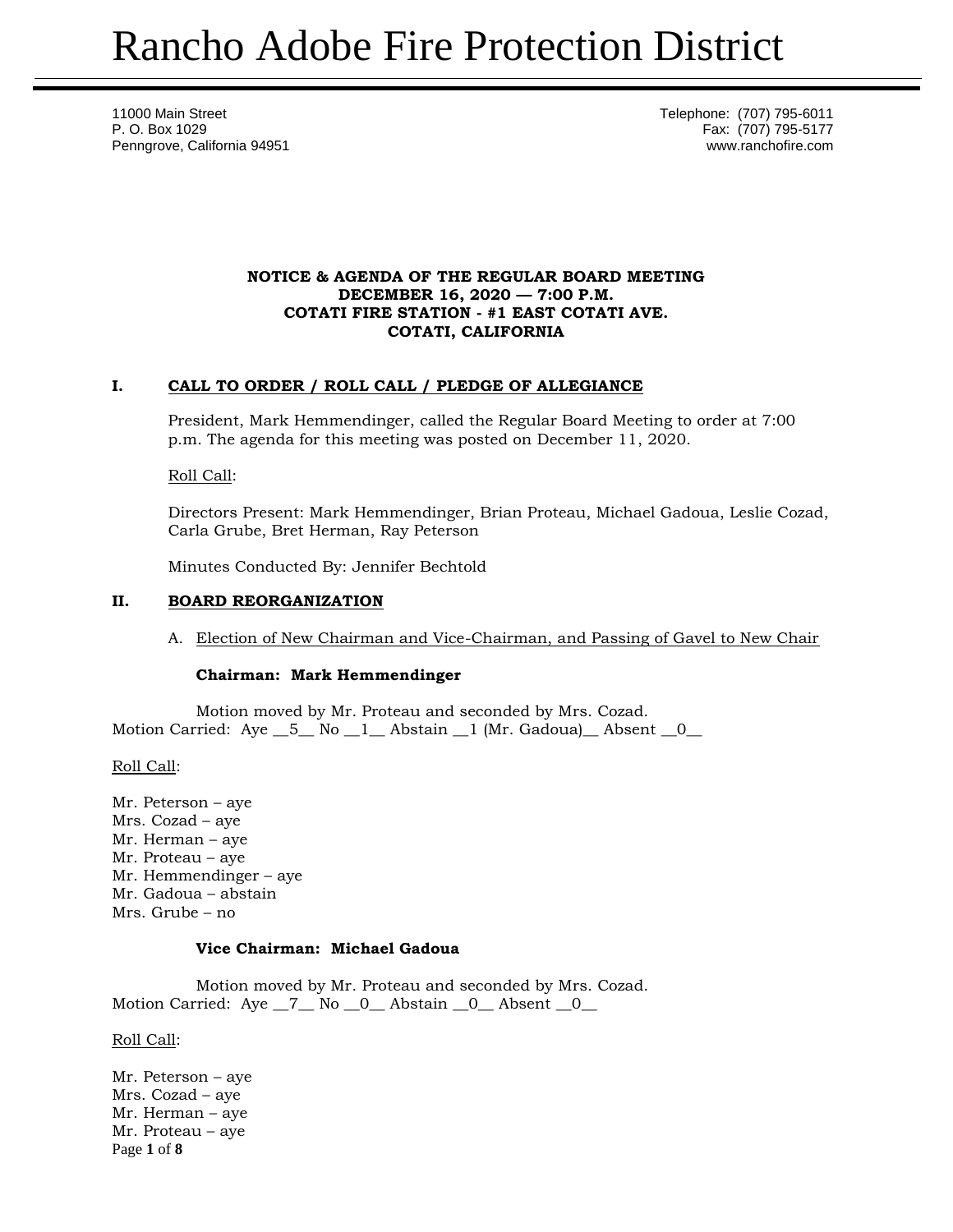11000 Main Street **Telephone:** (707) 795-6011 P. O. Box 1029 Fax: (707) 795-5177 Penngrove, California 94951 www.ranchofire.com

### **NOTICE & AGENDA OF THE REGULAR BOARD MEETING DECEMBER 16, 2020 — 7:00 P.M. COTATI FIRE STATION - #1 EAST COTATI AVE. COTATI, CALIFORNIA**

# **I. CALL TO ORDER / ROLL CALL / PLEDGE OF ALLEGIANCE**

President, Mark Hemmendinger, called the Regular Board Meeting to order at 7:00 p.m. The agenda for this meeting was posted on December 11, 2020.

Roll Call:

Directors Present: Mark Hemmendinger, Brian Proteau, Michael Gadoua, Leslie Cozad, Carla Grube, Bret Herman, Ray Peterson

Minutes Conducted By: Jennifer Bechtold

# **II. BOARD REORGANIZATION**

A. Election of New Chairman and Vice-Chairman, and Passing of Gavel to New Chair

### **Chairman: Mark Hemmendinger**

Motion moved by Mr. Proteau and seconded by Mrs. Cozad. Motion Carried: Aye  $\overline{5}$  No  $\overline{1}$  Abstain  $\overline{1}$  (Mr. Gadoua) Absent 0

Roll Call:

Mr. Peterson – aye Mrs. Cozad – aye Mr. Herman – aye Mr. Proteau – aye Mr. Hemmendinger – aye Mr. Gadoua – abstain Mrs. Grube – no

### **Vice Chairman: Michael Gadoua**

Motion moved by Mr. Proteau and seconded by Mrs. Cozad. Motion Carried: Aye \_7\_ No \_0\_ Abstain \_0\_ Absent \_0\_

Roll Call:

Page **1** of **8** Mr. Peterson – aye Mrs. Cozad – aye Mr. Herman – aye Mr. Proteau – aye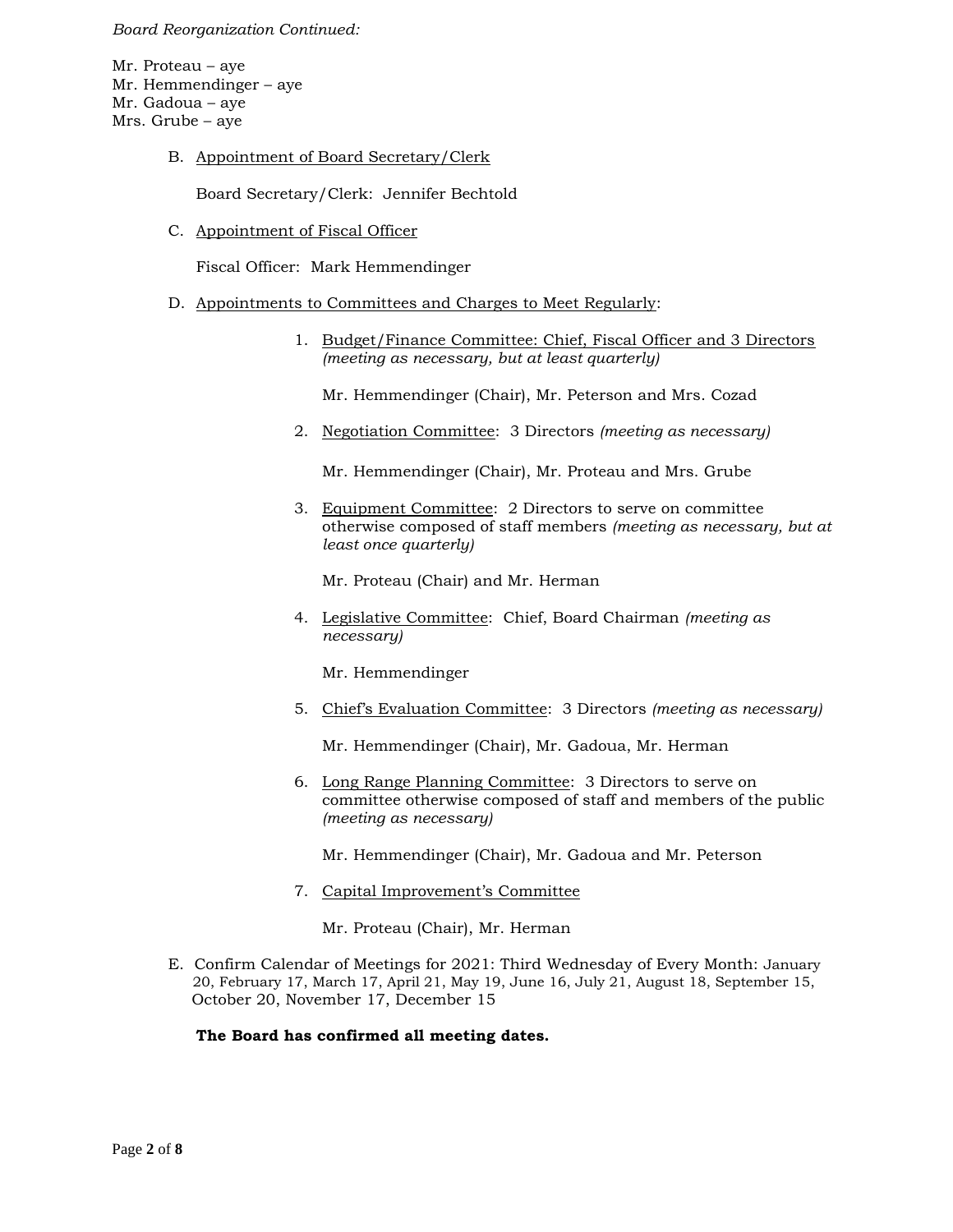#### *Board Reorganization Continued:*

Mr. Proteau – aye Mr. Hemmendinger – aye Mr. Gadoua – aye Mrs. Grube – aye

B. Appointment of Board Secretary/Clerk

Board Secretary/Clerk: Jennifer Bechtold

C. Appointment of Fiscal Officer

Fiscal Officer: Mark Hemmendinger

- D. Appointments to Committees and Charges to Meet Regularly:
	- 1. Budget/Finance Committee: Chief, Fiscal Officer and 3 Directors *(meeting as necessary, but at least quarterly)*

Mr. Hemmendinger (Chair), Mr. Peterson and Mrs. Cozad

2. Negotiation Committee: 3 Directors *(meeting as necessary)*

Mr. Hemmendinger (Chair), Mr. Proteau and Mrs. Grube

3. Equipment Committee: 2 Directors to serve on committee otherwise composed of staff members *(meeting as necessary, but at least once quarterly)*

Mr. Proteau (Chair) and Mr. Herman

4. Legislative Committee: Chief, Board Chairman *(meeting as necessary)*

Mr. Hemmendinger

5. Chief's Evaluation Committee: 3 Directors *(meeting as necessary)*

Mr. Hemmendinger (Chair), Mr. Gadoua, Mr. Herman

6. Long Range Planning Committee: 3 Directors to serve on committee otherwise composed of staff and members of the public *(meeting as necessary)*

Mr. Hemmendinger (Chair), Mr. Gadoua and Mr. Peterson

7. Capital Improvement's Committee

Mr. Proteau (Chair), Mr. Herman

E. Confirm Calendar of Meetings for 2021: Third Wednesday of Every Month: January 20, February 17, March 17, April 21, May 19, June 16, July 21, August 18, September 15, October 20, November 17, December 15

**The Board has confirmed all meeting dates.**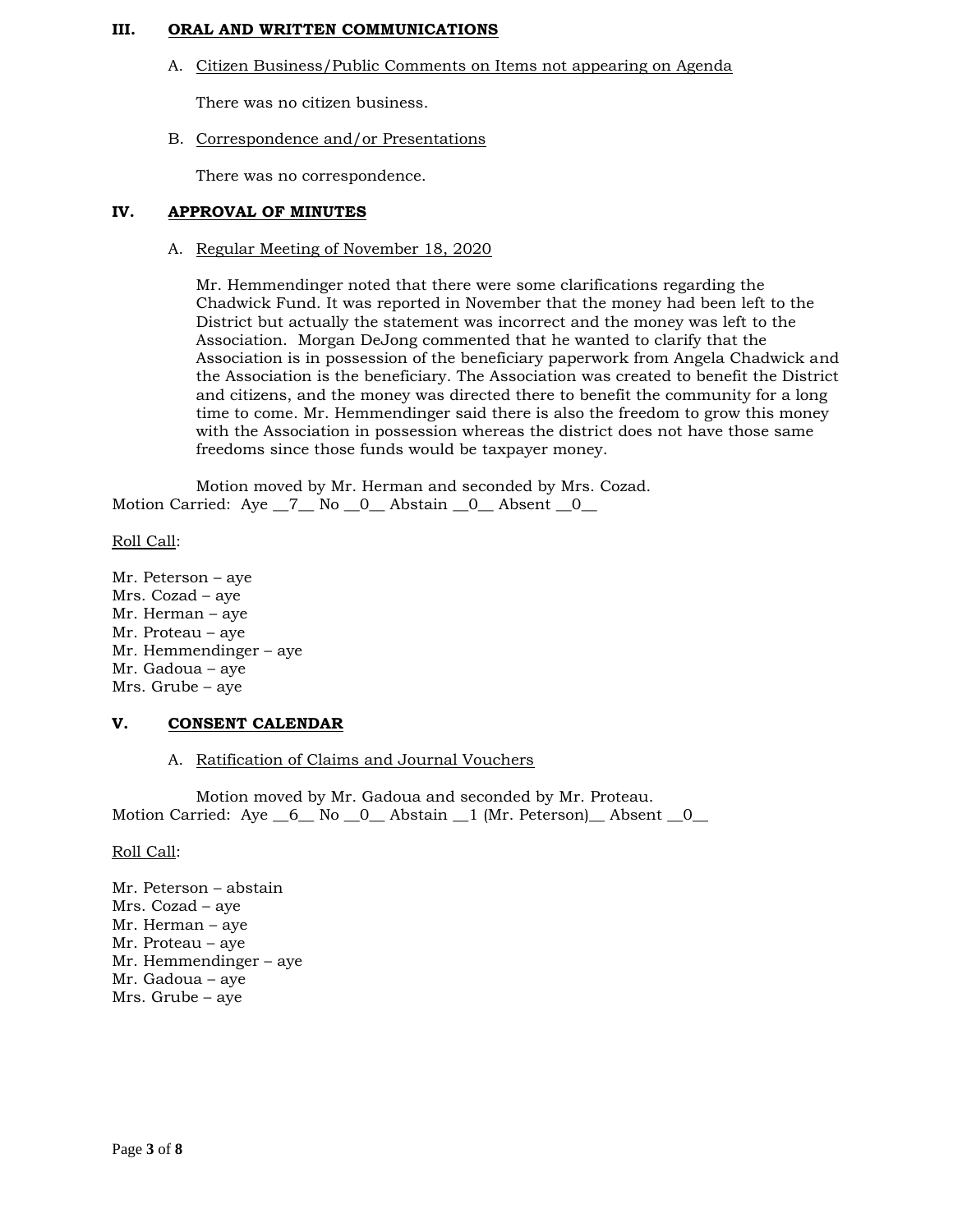### **III. ORAL AND WRITTEN COMMUNICATIONS**

A. Citizen Business/Public Comments on Items not appearing on Agenda

There was no citizen business.

B. Correspondence and/or Presentations

There was no correspondence.

### **IV. APPROVAL OF MINUTES**

#### A. Regular Meeting of November 18, 2020

Mr. Hemmendinger noted that there were some clarifications regarding the Chadwick Fund. It was reported in November that the money had been left to the District but actually the statement was incorrect and the money was left to the Association. Morgan DeJong commented that he wanted to clarify that the Association is in possession of the beneficiary paperwork from Angela Chadwick and the Association is the beneficiary. The Association was created to benefit the District and citizens, and the money was directed there to benefit the community for a long time to come. Mr. Hemmendinger said there is also the freedom to grow this money with the Association in possession whereas the district does not have those same freedoms since those funds would be taxpayer money.

Motion moved by Mr. Herman and seconded by Mrs. Cozad. Motion Carried: Aye 7 No 0 Abstain 0 Absent 0

Roll Call:

Mr. Peterson – aye Mrs. Cozad – aye Mr. Herman – aye Mr. Proteau – aye Mr. Hemmendinger – aye Mr. Gadoua – aye Mrs. Grube – aye

### **V. CONSENT CALENDAR**

### A. Ratification of Claims and Journal Vouchers

Motion moved by Mr. Gadoua and seconded by Mr. Proteau. Motion Carried: Aye  $6$  No  $0$  Abstain  $1$  (Mr. Peterson) Absent  $0$ 

Roll Call:

Mr. Peterson – abstain Mrs. Cozad – aye Mr. Herman – aye Mr. Proteau – aye Mr. Hemmendinger – aye Mr. Gadoua – aye Mrs. Grube – aye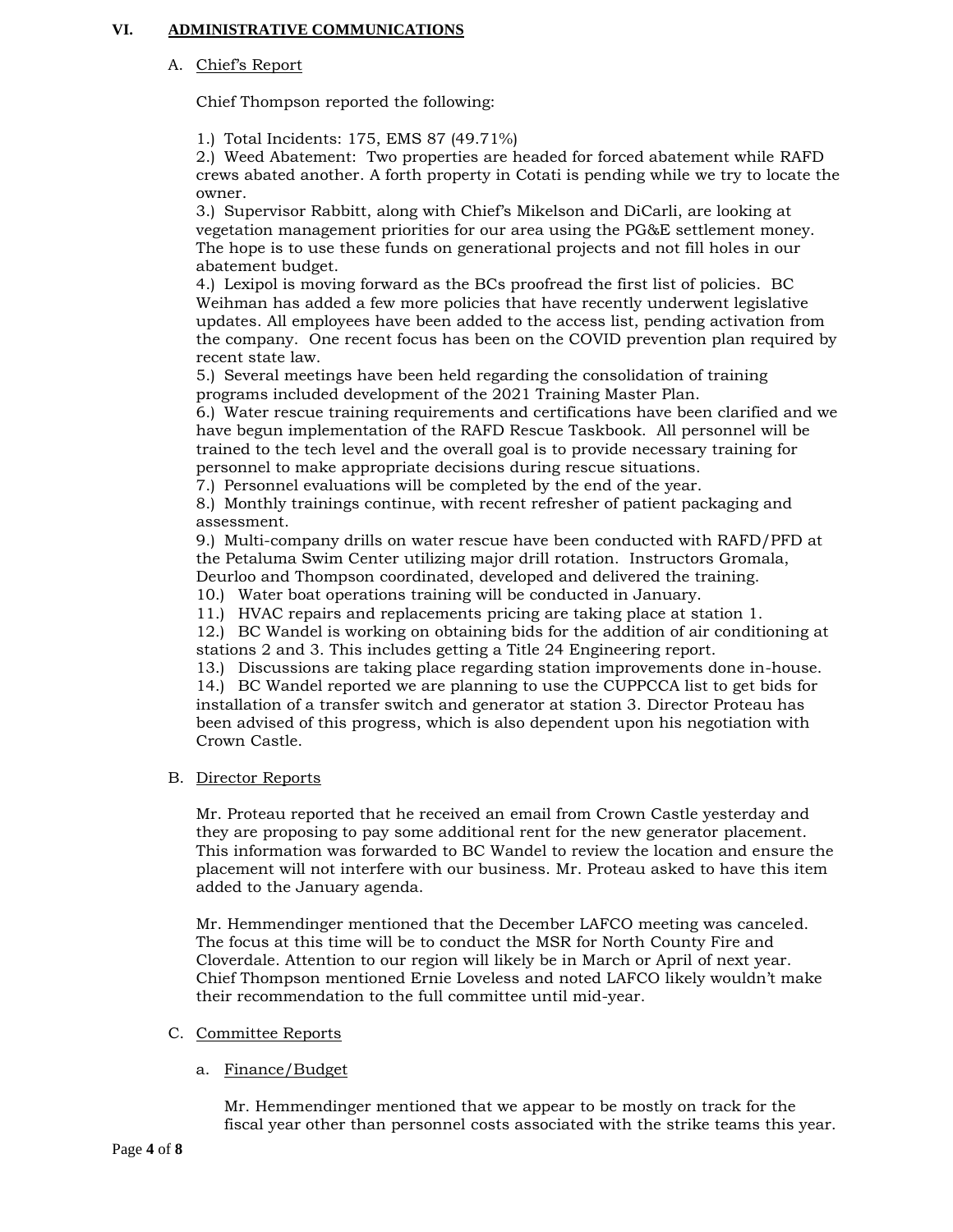## **VI. ADMINISTRATIVE COMMUNICATIONS**

### A. Chief's Report

Chief Thompson reported the following:

1.) Total Incidents: 175, EMS 87 (49.71%)

2.) Weed Abatement: Two properties are headed for forced abatement while RAFD crews abated another. A forth property in Cotati is pending while we try to locate the owner.

3.) Supervisor Rabbitt, along with Chief's Mikelson and DiCarli, are looking at vegetation management priorities for our area using the PG&E settlement money. The hope is to use these funds on generational projects and not fill holes in our abatement budget.

4.) Lexipol is moving forward as the BCs proofread the first list of policies. BC Weihman has added a few more policies that have recently underwent legislative updates. All employees have been added to the access list, pending activation from the company. One recent focus has been on the COVID prevention plan required by recent state law.

5.) Several meetings have been held regarding the consolidation of training programs included development of the 2021 Training Master Plan.

6.) Water rescue training requirements and certifications have been clarified and we have begun implementation of the RAFD Rescue Taskbook. All personnel will be trained to the tech level and the overall goal is to provide necessary training for personnel to make appropriate decisions during rescue situations.

7.) Personnel evaluations will be completed by the end of the year.

8.) Monthly trainings continue, with recent refresher of patient packaging and assessment.

9.) Multi-company drills on water rescue have been conducted with RAFD/PFD at the Petaluma Swim Center utilizing major drill rotation. Instructors Gromala, Deurloo and Thompson coordinated, developed and delivered the training.

10.) Water boat operations training will be conducted in January.

11.) HVAC repairs and replacements pricing are taking place at station 1.

12.) BC Wandel is working on obtaining bids for the addition of air conditioning at stations 2 and 3. This includes getting a Title 24 Engineering report.

13.) Discussions are taking place regarding station improvements done in-house.

14.) BC Wandel reported we are planning to use the CUPPCCA list to get bids for installation of a transfer switch and generator at station 3. Director Proteau has been advised of this progress, which is also dependent upon his negotiation with Crown Castle.

### B. Director Reports

Mr. Proteau reported that he received an email from Crown Castle yesterday and they are proposing to pay some additional rent for the new generator placement. This information was forwarded to BC Wandel to review the location and ensure the placement will not interfere with our business. Mr. Proteau asked to have this item added to the January agenda.

Mr. Hemmendinger mentioned that the December LAFCO meeting was canceled. The focus at this time will be to conduct the MSR for North County Fire and Cloverdale. Attention to our region will likely be in March or April of next year. Chief Thompson mentioned Ernie Loveless and noted LAFCO likely wouldn't make their recommendation to the full committee until mid-year.

### C. Committee Reports

### a. Finance/Budget

Mr. Hemmendinger mentioned that we appear to be mostly on track for the fiscal year other than personnel costs associated with the strike teams this year.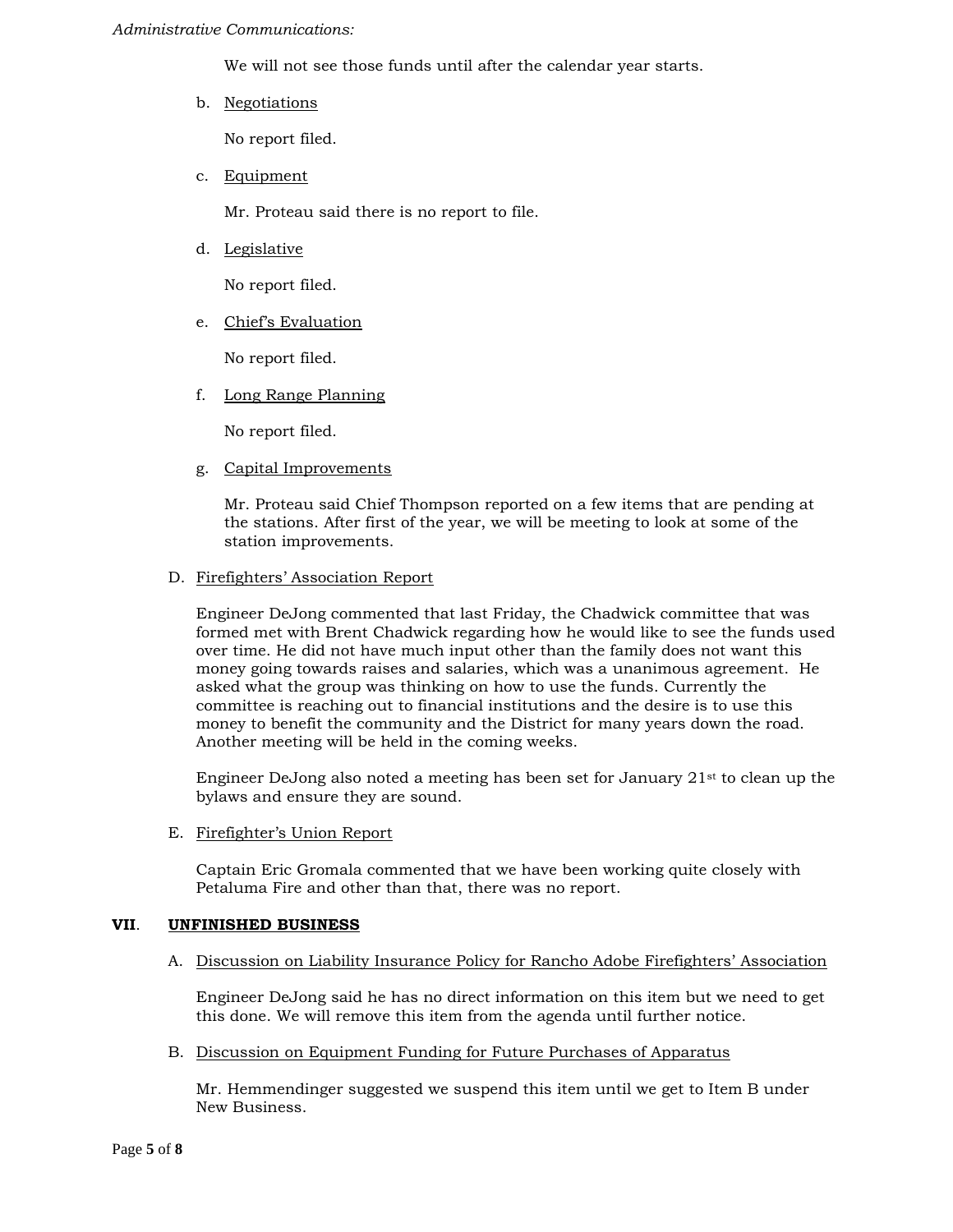#### *Administrative Communications:*

We will not see those funds until after the calendar year starts.

b. Negotiations

No report filed.

c. Equipment

Mr. Proteau said there is no report to file.

d. Legislative

No report filed.

e. Chief's Evaluation

No report filed.

f. Long Range Planning

No report filed.

g. Capital Improvements

Mr. Proteau said Chief Thompson reported on a few items that are pending at the stations. After first of the year, we will be meeting to look at some of the station improvements.

### D. Firefighters' Association Report

Engineer DeJong commented that last Friday, the Chadwick committee that was formed met with Brent Chadwick regarding how he would like to see the funds used over time. He did not have much input other than the family does not want this money going towards raises and salaries, which was a unanimous agreement. He asked what the group was thinking on how to use the funds. Currently the committee is reaching out to financial institutions and the desire is to use this money to benefit the community and the District for many years down the road. Another meeting will be held in the coming weeks.

Engineer DeJong also noted a meeting has been set for January  $21^{st}$  to clean up the bylaws and ensure they are sound.

E. Firefighter's Union Report

Captain Eric Gromala commented that we have been working quite closely with Petaluma Fire and other than that, there was no report.

### **VII**. **UNFINISHED BUSINESS**

A. Discussion on Liability Insurance Policy for Rancho Adobe Firefighters' Association

Engineer DeJong said he has no direct information on this item but we need to get this done. We will remove this item from the agenda until further notice.

B. Discussion on Equipment Funding for Future Purchases of Apparatus

Mr. Hemmendinger suggested we suspend this item until we get to Item B under New Business.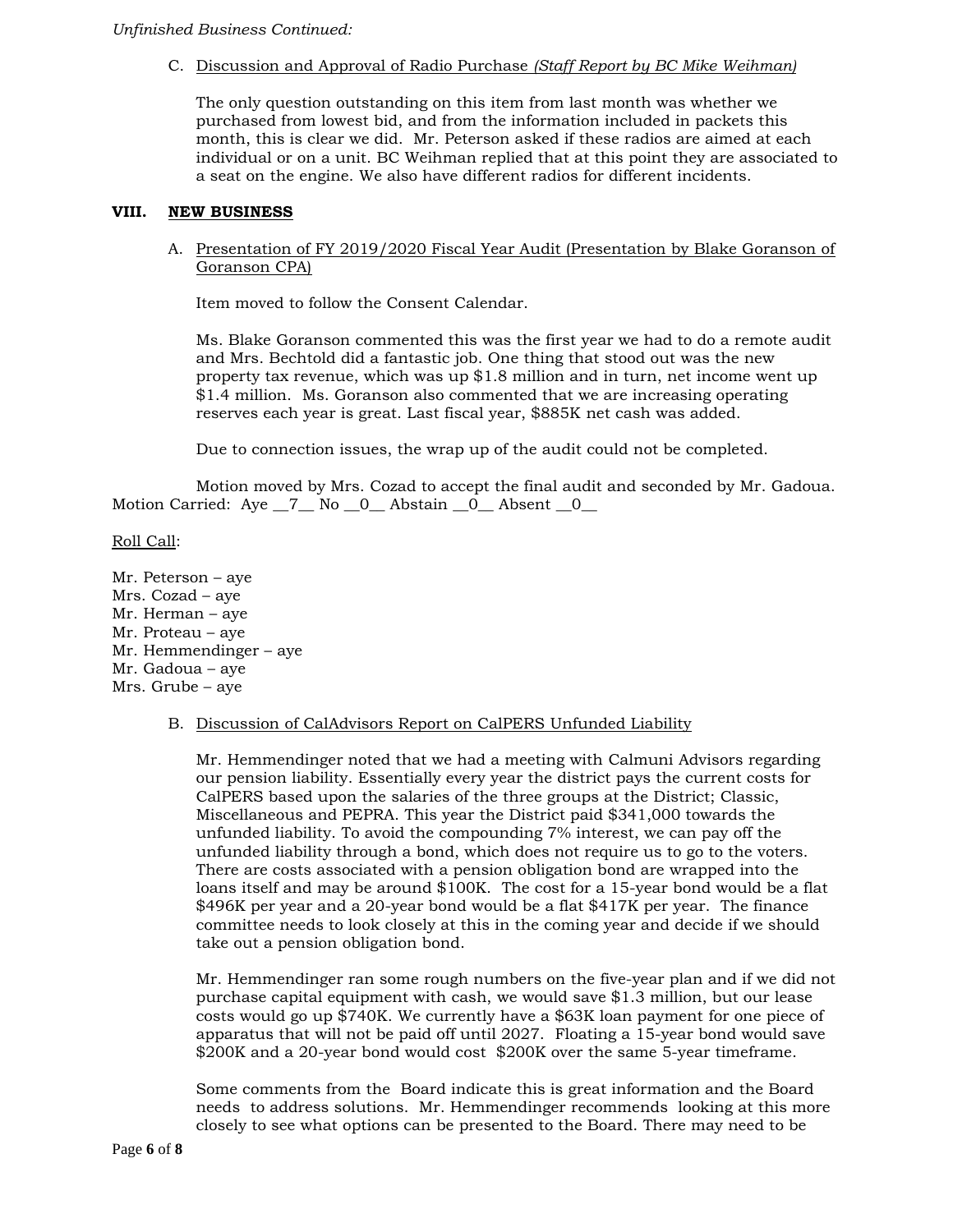## C. Discussion and Approval of Radio Purchase *(Staff Report by BC Mike Weihman)*

The only question outstanding on this item from last month was whether we purchased from lowest bid, and from the information included in packets this month, this is clear we did. Mr. Peterson asked if these radios are aimed at each individual or on a unit. BC Weihman replied that at this point they are associated to a seat on the engine. We also have different radios for different incidents.

### **VIII. NEW BUSINESS**

## A. Presentation of FY 2019/2020 Fiscal Year Audit (Presentation by Blake Goranson of Goranson CPA)

Item moved to follow the Consent Calendar.

Ms. Blake Goranson commented this was the first year we had to do a remote audit and Mrs. Bechtold did a fantastic job. One thing that stood out was the new property tax revenue, which was up \$1.8 million and in turn, net income went up \$1.4 million. Ms. Goranson also commented that we are increasing operating reserves each year is great. Last fiscal year, \$885K net cash was added.

Due to connection issues, the wrap up of the audit could not be completed.

Motion moved by Mrs. Cozad to accept the final audit and seconded by Mr. Gadoua. Motion Carried: Aye 7 No 0 Abstain 0 Absent 0

## Roll Call:

Mr. Peterson – aye Mrs. Cozad – aye Mr. Herman – aye Mr. Proteau – aye Mr. Hemmendinger – aye Mr. Gadoua – aye Mrs. Grube – aye

### B. Discussion of CalAdvisors Report on CalPERS Unfunded Liability

Mr. Hemmendinger noted that we had a meeting with Calmuni Advisors regarding our pension liability. Essentially every year the district pays the current costs for CalPERS based upon the salaries of the three groups at the District; Classic, Miscellaneous and PEPRA. This year the District paid \$341,000 towards the unfunded liability. To avoid the compounding 7% interest, we can pay off the unfunded liability through a bond, which does not require us to go to the voters. There are costs associated with a pension obligation bond are wrapped into the loans itself and may be around \$100K. The cost for a 15-year bond would be a flat \$496K per year and a 20-year bond would be a flat \$417K per year. The finance committee needs to look closely at this in the coming year and decide if we should take out a pension obligation bond.

Mr. Hemmendinger ran some rough numbers on the five-year plan and if we did not purchase capital equipment with cash, we would save \$1.3 million, but our lease costs would go up \$740K. We currently have a \$63K loan payment for one piece of apparatus that will not be paid off until 2027. Floating a 15-year bond would save \$200K and a 20-year bond would cost \$200K over the same 5-year timeframe.

Some comments from the Board indicate this is great information and the Board needs to address solutions. Mr. Hemmendinger recommends looking at this more closely to see what options can be presented to the Board. There may need to be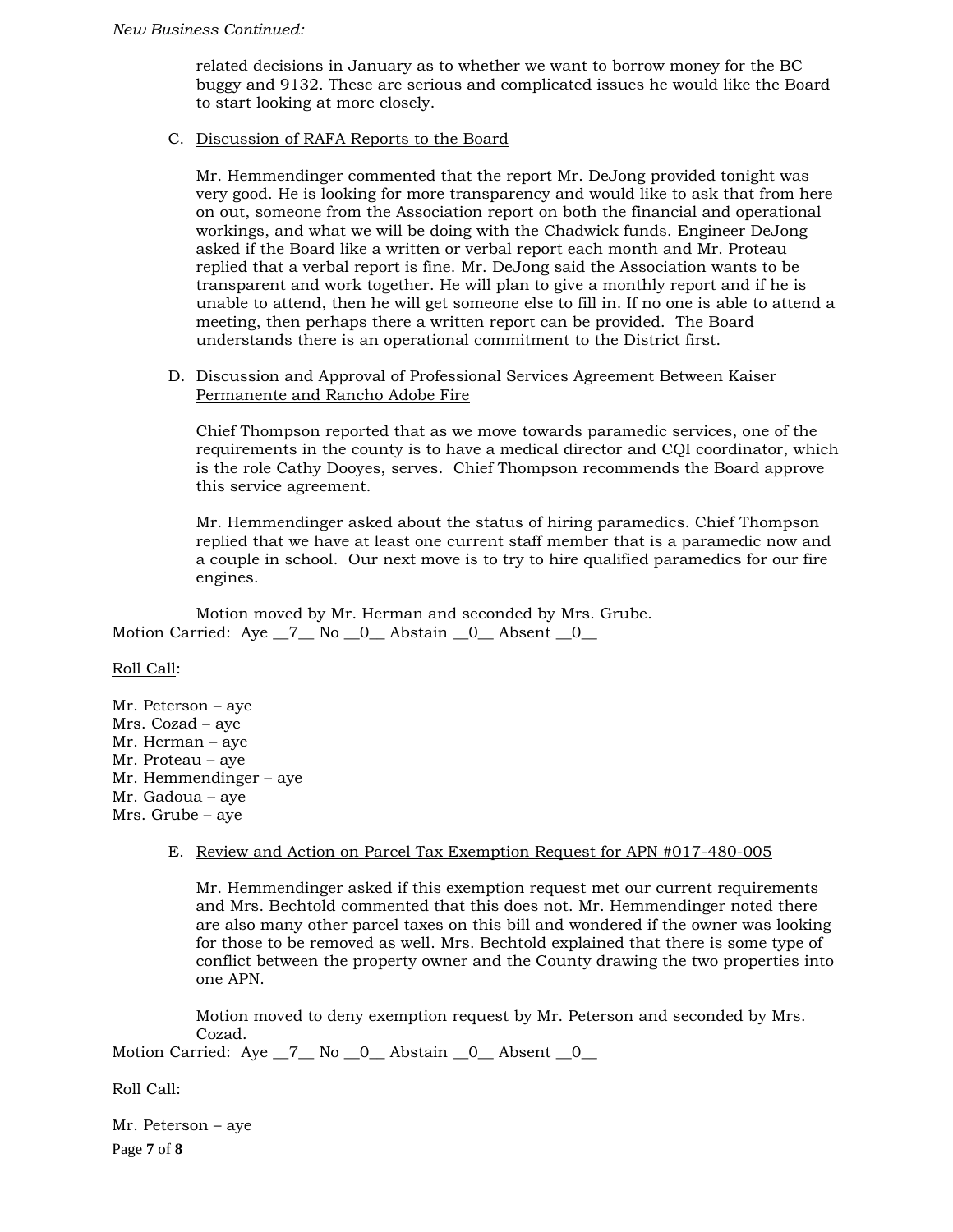related decisions in January as to whether we want to borrow money for the BC buggy and 9132. These are serious and complicated issues he would like the Board to start looking at more closely.

## C. Discussion of RAFA Reports to the Board

Mr. Hemmendinger commented that the report Mr. DeJong provided tonight was very good. He is looking for more transparency and would like to ask that from here on out, someone from the Association report on both the financial and operational workings, and what we will be doing with the Chadwick funds. Engineer DeJong asked if the Board like a written or verbal report each month and Mr. Proteau replied that a verbal report is fine. Mr. DeJong said the Association wants to be transparent and work together. He will plan to give a monthly report and if he is unable to attend, then he will get someone else to fill in. If no one is able to attend a meeting, then perhaps there a written report can be provided. The Board understands there is an operational commitment to the District first.

## D. Discussion and Approval of Professional Services Agreement Between Kaiser Permanente and Rancho Adobe Fire

Chief Thompson reported that as we move towards paramedic services, one of the requirements in the county is to have a medical director and CQI coordinator, which is the role Cathy Dooyes, serves. Chief Thompson recommends the Board approve this service agreement.

Mr. Hemmendinger asked about the status of hiring paramedics. Chief Thompson replied that we have at least one current staff member that is a paramedic now and a couple in school. Our next move is to try to hire qualified paramedics for our fire engines.

Motion moved by Mr. Herman and seconded by Mrs. Grube. Motion Carried: Aye \_7\_\_ No \_0\_\_ Abstain \_0\_\_ Absent \_0\_\_

### Roll Call:

Mr. Peterson – aye Mrs. Cozad – aye Mr. Herman – aye Mr. Proteau – aye Mr. Hemmendinger – aye Mr. Gadoua – aye Mrs. Grube – aye

### E. Review and Action on Parcel Tax Exemption Request for APN #017-480-005

Mr. Hemmendinger asked if this exemption request met our current requirements and Mrs. Bechtold commented that this does not. Mr. Hemmendinger noted there are also many other parcel taxes on this bill and wondered if the owner was looking for those to be removed as well. Mrs. Bechtold explained that there is some type of conflict between the property owner and the County drawing the two properties into one APN.

Motion moved to deny exemption request by Mr. Peterson and seconded by Mrs. Cozad.

Motion Carried: Aye \_7\_ No \_0\_ Abstain \_0\_ Absent \_0\_

### Roll Call:

Page **7** of **8** Mr. Peterson – aye